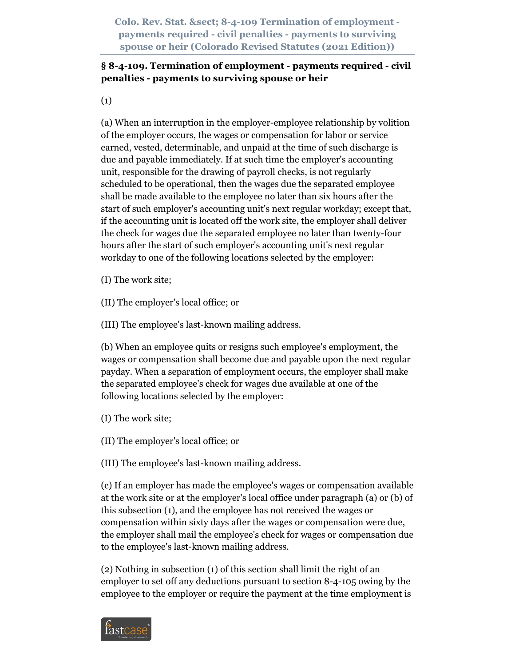## **§ 8-4-109. Termination of employment - payments required - civil penalties - payments to surviving spouse or heir**

(1)

(a) When an interruption in the employer-employee relationship by volition of the employer occurs, the wages or compensation for labor or service earned, vested, determinable, and unpaid at the time of such discharge is due and payable immediately. If at such time the employer's accounting unit, responsible for the drawing of payroll checks, is not regularly scheduled to be operational, then the wages due the separated employee shall be made available to the employee no later than six hours after the start of such employer's accounting unit's next regular workday; except that, if the accounting unit is located off the work site, the employer shall deliver the check for wages due the separated employee no later than twenty-four hours after the start of such employer's accounting unit's next regular workday to one of the following locations selected by the employer:

(I) The work site;

(II) The employer's local office; or

(III) The employee's last-known mailing address.

(b) When an employee quits or resigns such employee's employment, the wages or compensation shall become due and payable upon the next regular payday. When a separation of employment occurs, the employer shall make the separated employee's check for wages due available at one of the following locations selected by the employer:

(I) The work site;

(II) The employer's local office; or

(III) The employee's last-known mailing address.

(c) If an employer has made the employee's wages or compensation available at the work site or at the employer's local office under paragraph (a) or (b) of this subsection (1), and the employee has not received the wages or compensation within sixty days after the wages or compensation were due, the employer shall mail the employee's check for wages or compensation due to the employee's last-known mailing address.

(2) Nothing in subsection (1) of this section shall limit the right of an employer to set off any deductions pursuant to section 8-4-105 owing by the employee to the employer or require the payment at the time employment is

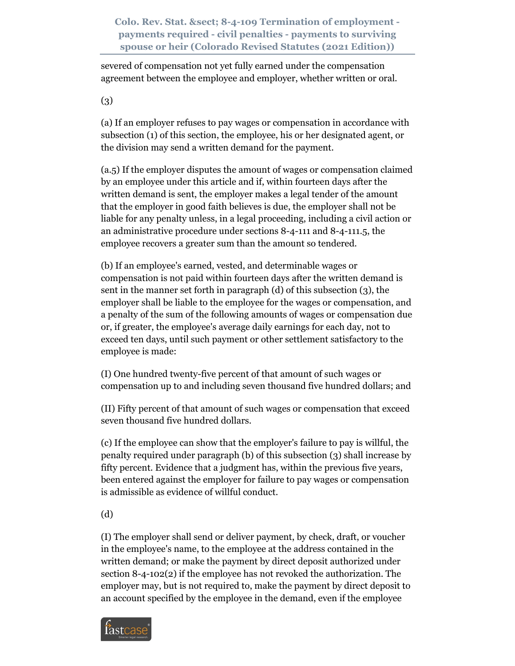severed of compensation not yet fully earned under the compensation agreement between the employee and employer, whether written or oral.

(3)

(a) If an employer refuses to pay wages or compensation in accordance with subsection (1) of this section, the employee, his or her designated agent, or the division may send a written demand for the payment.

(a.5) If the employer disputes the amount of wages or compensation claimed by an employee under this article and if, within fourteen days after the written demand is sent, the employer makes a legal tender of the amount that the employer in good faith believes is due, the employer shall not be liable for any penalty unless, in a legal proceeding, including a civil action or an administrative procedure under sections 8-4-111 and 8-4-111.5, the employee recovers a greater sum than the amount so tendered.

(b) If an employee's earned, vested, and determinable wages or compensation is not paid within fourteen days after the written demand is sent in the manner set forth in paragraph (d) of this subsection (3), the employer shall be liable to the employee for the wages or compensation, and a penalty of the sum of the following amounts of wages or compensation due or, if greater, the employee's average daily earnings for each day, not to exceed ten days, until such payment or other settlement satisfactory to the employee is made:

(I) One hundred twenty-five percent of that amount of such wages or compensation up to and including seven thousand five hundred dollars; and

(II) Fifty percent of that amount of such wages or compensation that exceed seven thousand five hundred dollars.

(c) If the employee can show that the employer's failure to pay is willful, the penalty required under paragraph (b) of this subsection (3) shall increase by fifty percent. Evidence that a judgment has, within the previous five years, been entered against the employer for failure to pay wages or compensation is admissible as evidence of willful conduct.

(d)

(I) The employer shall send or deliver payment, by check, draft, or voucher in the employee's name, to the employee at the address contained in the written demand; or make the payment by direct deposit authorized under section 8-4-102(2) if the employee has not revoked the authorization. The employer may, but is not required to, make the payment by direct deposit to an account specified by the employee in the demand, even if the employee

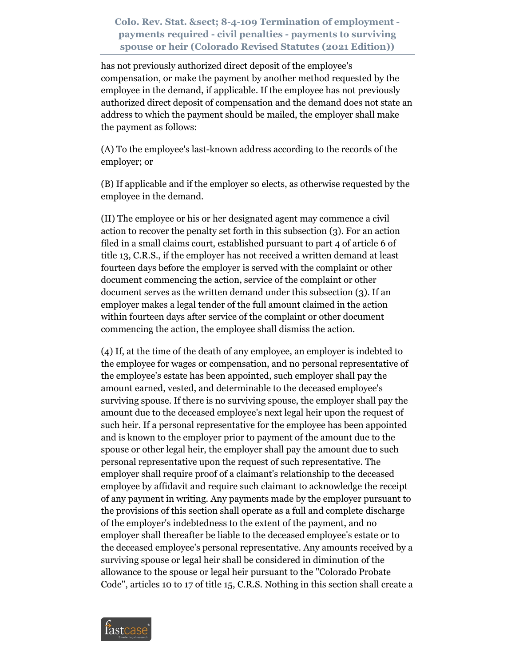has not previously authorized direct deposit of the employee's compensation, or make the payment by another method requested by the employee in the demand, if applicable. If the employee has not previously authorized direct deposit of compensation and the demand does not state an address to which the payment should be mailed, the employer shall make the payment as follows:

(A) To the employee's last-known address according to the records of the employer; or

(B) If applicable and if the employer so elects, as otherwise requested by the employee in the demand.

(II) The employee or his or her designated agent may commence a civil action to recover the penalty set forth in this subsection (3). For an action filed in a small claims court, established pursuant to part 4 of article 6 of title 13, C.R.S., if the employer has not received a written demand at least fourteen days before the employer is served with the complaint or other document commencing the action, service of the complaint or other document serves as the written demand under this subsection (3). If an employer makes a legal tender of the full amount claimed in the action within fourteen days after service of the complaint or other document commencing the action, the employee shall dismiss the action.

(4) If, at the time of the death of any employee, an employer is indebted to the employee for wages or compensation, and no personal representative of the employee's estate has been appointed, such employer shall pay the amount earned, vested, and determinable to the deceased employee's surviving spouse. If there is no surviving spouse, the employer shall pay the amount due to the deceased employee's next legal heir upon the request of such heir. If a personal representative for the employee has been appointed and is known to the employer prior to payment of the amount due to the spouse or other legal heir, the employer shall pay the amount due to such personal representative upon the request of such representative. The employer shall require proof of a claimant's relationship to the deceased employee by affidavit and require such claimant to acknowledge the receipt of any payment in writing. Any payments made by the employer pursuant to the provisions of this section shall operate as a full and complete discharge of the employer's indebtedness to the extent of the payment, and no employer shall thereafter be liable to the deceased employee's estate or to the deceased employee's personal representative. Any amounts received by a surviving spouse or legal heir shall be considered in diminution of the allowance to the spouse or legal heir pursuant to the "Colorado Probate Code", articles 10 to 17 of title 15, C.R.S. Nothing in this section shall create a

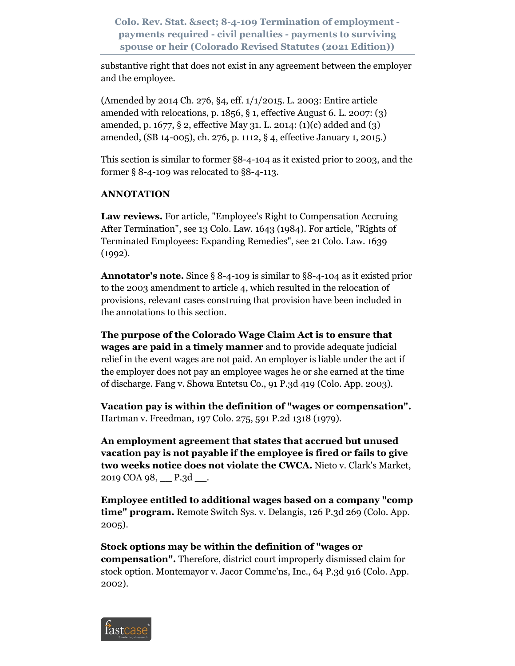substantive right that does not exist in any agreement between the employer and the employee.

(Amended by 2014 Ch. 276, §4, eff. 1/1/2015. L. 2003: Entire article amended with relocations, p.  $1856$ ,  $\S$  1, effective August 6. L. 2007: (3) amended, p. 1677, § 2, effective May 31. L. 2014: (1)(c) added and (3) amended, (SB 14-005), ch. 276, p. 1112, § 4, effective January 1, 2015.)

This section is similar to former §8-4-104 as it existed prior to 2003, and the former § 8-4-109 was relocated to §8-4-113.

## **ANNOTATION**

**Law reviews.** For article, "Employee's Right to Compensation Accruing After Termination", see 13 Colo. Law. 1643 (1984). For article, "Rights of Terminated Employees: Expanding Remedies", see 21 Colo. Law. 1639 (1992).

**Annotator's note.** Since § 8-4-109 is similar to §8-4-104 as it existed prior to the 2003 amendment to article 4, which resulted in the relocation of provisions, relevant cases construing that provision have been included in the annotations to this section.

**The purpose of the Colorado Wage Claim Act is to ensure that wages are paid in a timely manner** and to provide adequate judicial relief in the event wages are not paid. An employer is liable under the act if the employer does not pay an employee wages he or she earned at the time of discharge. Fang v. Showa Entetsu Co., 91 P.3d 419 (Colo. App. 2003).

**Vacation pay is within the definition of "wages or compensation".** Hartman v. Freedman, 197 Colo. 275, 591 P.2d 1318 (1979).

**An employment agreement that states that accrued but unused vacation pay is not payable if the employee is fired or fails to give two weeks notice does not violate the CWCA.** Nieto v. Clark's Market, 2019 COA 98, \_\_ P.3d \_\_.

**Employee entitled to additional wages based on a company "comp time" program.** Remote Switch Sys. v. Delangis, 126 P.3d 269 (Colo. App.) 2005).

**Stock options may be within the definition of "wages or compensation".** Therefore, district court improperly dismissed claim for stock option. Montemayor v. Jacor Commc'ns, Inc., 64 P.3d 916 (Colo. App. 2002).

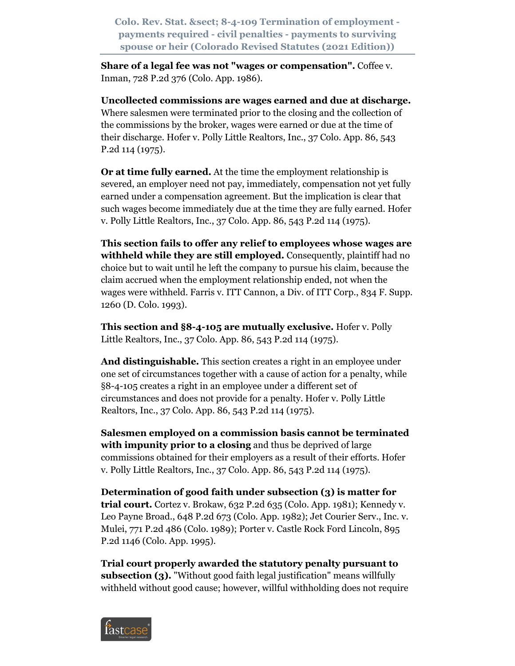**Share of a legal fee was not "wages or compensation".** Coffee v. Inman, 728 P.2d 376 (Colo. App. 1986).

**Uncollected commissions are wages earned and due at discharge.** Where salesmen were terminated prior to the closing and the collection of the commissions by the broker, wages were earned or due at the time of their discharge. Hofer v. Polly Little Realtors, Inc., 37 Colo. App. 86, 543 P.2d 114 (1975).

**Or at time fully earned.** At the time the employment relationship is severed, an employer need not pay, immediately, compensation not yet fully earned under a compensation agreement. But the implication is clear that such wages become immediately due at the time they are fully earned. Hofer v. Polly Little Realtors, Inc., 37 Colo. App. 86, 543 P.2d 114 (1975).

**This section fails to offer any relief to employees whose wages are withheld while they are still employed.** Consequently, plaintiff had no choice but to wait until he left the company to pursue his claim, because the claim accrued when the employment relationship ended, not when the wages were withheld. Farris v. ITT Cannon, a Div. of ITT Corp., 834 F. Supp. 1260 (D. Colo. 1993).

**This section and §8-4-105 are mutually exclusive.** Hofer v. Polly Little Realtors, Inc., 37 Colo. App. 86, 543 P.2d 114 (1975).

**And distinguishable.** This section creates a right in an employee under one set of circumstances together with a cause of action for a penalty, while §8-4-105 creates a right in an employee under a different set of circumstances and does not provide for a penalty. Hofer v. Polly Little Realtors, Inc., 37 Colo. App. 86, 543 P.2d 114 (1975).

**Salesmen employed on a commission basis cannot be terminated with impunity prior to a closing** and thus be deprived of large commissions obtained for their employers as a result of their efforts. Hofer v. Polly Little Realtors, Inc., 37 Colo. App. 86, 543 P.2d 114 (1975).

**Determination of good faith under subsection (3) is matter for trial court.** Cortez v. Brokaw, 632 P.2d 635 (Colo. App. 1981); Kennedy v. Leo Payne Broad., 648 P.2d 673 (Colo. App. 1982); Jet Courier Serv., Inc. v. Mulei, 771 P.2d 486 (Colo. 1989); Porter v. Castle Rock Ford Lincoln, 895 P.2d 1146 (Colo. App. 1995).

**Trial court properly awarded the statutory penalty pursuant to subsection (3).** "Without good faith legal justification" means willfully withheld without good cause; however, willful withholding does not require

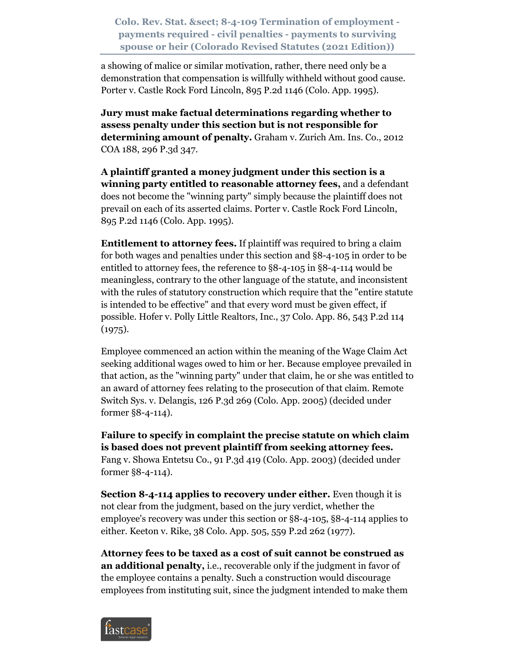a showing of malice or similar motivation, rather, there need only be a demonstration that compensation is willfully withheld without good cause. Porter v. Castle Rock Ford Lincoln, 895 P.2d 1146 (Colo. App. 1995).

**Jury must make factual determinations regarding whether to assess penalty under this section but is not responsible for determining amount of penalty.** Graham v. Zurich Am. Ins. Co., 2012 COA 188, 296 P.3d 347.

**A plaintiff granted a money judgment under this section is a winning party entitled to reasonable attorney fees,** and a defendant does not become the "winning party" simply because the plaintiff does not prevail on each of its asserted claims. Porter v. Castle Rock Ford Lincoln, 895 P.2d 1146 (Colo. App. 1995).

**Entitlement to attorney fees.** If plaintiff was required to bring a claim for both wages and penalties under this section and §8-4-105 in order to be entitled to attorney fees, the reference to §8-4-105 in §8-4-114 would be meaningless, contrary to the other language of the statute, and inconsistent with the rules of statutory construction which require that the "entire statute is intended to be effective" and that every word must be given effect, if possible. Hofer v. Polly Little Realtors, Inc., 37 Colo. App. 86, 543 P.2d 114  $(1975).$ 

Employee commenced an action within the meaning of the Wage Claim Act seeking additional wages owed to him or her. Because employee prevailed in that action, as the "winning party" under that claim, he or she was entitled to an award of attorney fees relating to the prosecution of that claim. Remote Switch Sys. v. Delangis, 126 P.3d 269 (Colo. App. 2005) (decided under former §8-4-114).

**Failure to specify in complaint the precise statute on which claim is based does not prevent plaintiff from seeking attorney fees.** Fang v. Showa Entetsu Co., 91 P.3d 419 (Colo. App. 2003) (decided under former §8-4-114).

**Section 8-4-114 applies to recovery under either.** Even though it is not clear from the judgment, based on the jury verdict, whether the employee's recovery was under this section or §8-4-105, §8-4-114 applies to either. Keeton v. Rike, 38 Colo. App. 505, 559 P.2d 262 (1977).

**Attorney fees to be taxed as a cost of suit cannot be construed as an additional penalty,** i.e., recoverable only if the judgment in favor of the employee contains a penalty. Such a construction would discourage employees from instituting suit, since the judgment intended to make them

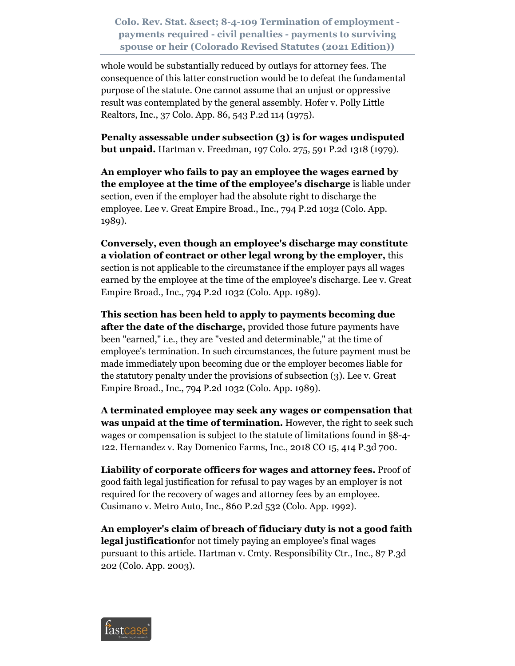whole would be substantially reduced by outlays for attorney fees. The consequence of this latter construction would be to defeat the fundamental purpose of the statute. One cannot assume that an unjust or oppressive result was contemplated by the general assembly. Hofer v. Polly Little Realtors, Inc., 37 Colo. App. 86, 543 P.2d 114 (1975).

**Penalty assessable under subsection (3) is for wages undisputed but unpaid.** Hartman v. Freedman, 197 Colo. 275, 591 P.2d 1318 (1979).

**An employer who fails to pay an employee the wages earned by the employee at the time of the employee's discharge** is liable under section, even if the employer had the absolute right to discharge the employee. Lee v. Great Empire Broad., Inc., 794 P.2d 1032 (Colo. App. 1989).

**Conversely, even though an employee's discharge may constitute a violation of contract or other legal wrong by the employer,** this section is not applicable to the circumstance if the employer pays all wages earned by the employee at the time of the employee's discharge. Lee v. Great Empire Broad., Inc., 794 P.2d 1032 (Colo. App. 1989).

**This section has been held to apply to payments becoming due after the date of the discharge,** provided those future payments have been "earned," i.e., they are "vested and determinable," at the time of employee's termination. In such circumstances, the future payment must be made immediately upon becoming due or the employer becomes liable for the statutory penalty under the provisions of subsection (3). Lee v. Great Empire Broad., Inc., 794 P.2d 1032 (Colo. App. 1989).

**A terminated employee may seek any wages or compensation that was unpaid at the time of termination.** However, the right to seek such wages or compensation is subject to the statute of limitations found in §8-4- 122. Hernandez v. Ray Domenico Farms, Inc., 2018 CO 15, 414 P.3d 700.

**Liability of corporate officers for wages and attorney fees.** Proof of good faith legal justification for refusal to pay wages by an employer is not required for the recovery of wages and attorney fees by an employee. Cusimano v. Metro Auto, Inc., 860 P.2d 532 (Colo. App. 1992).

**An employer's claim of breach of fiduciary duty is not a good faith legal justification**for not timely paying an employee's final wages pursuant to this article. Hartman v. Cmty. Responsibility Ctr., Inc., 87 P.3d 202 (Colo. App. 2003).